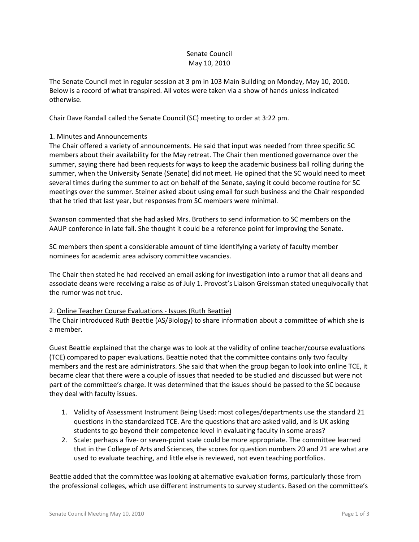# Senate Council May 10, 2010

The Senate Council met in regular session at 3 pm in 103 Main Building on Monday, May 10, 2010. Below is a record of what transpired. All votes were taken via a show of hands unless indicated otherwise.

Chair Dave Randall called the Senate Council (SC) meeting to order at 3:22 pm.

## 1. Minutes and Announcements

The Chair offered a variety of announcements. He said that input was needed from three specific SC members about their availability for the May retreat. The Chair then mentioned governance over the summer, saying there had been requests for ways to keep the academic business ball rolling during the summer, when the University Senate (Senate) did not meet. He opined that the SC would need to meet several times during the summer to act on behalf of the Senate, saying it could become routine for SC meetings over the summer. Steiner asked about using email for such business and the Chair responded that he tried that last year, but responses from SC members were minimal.

Swanson commented that she had asked Mrs. Brothers to send information to SC members on the AAUP conference in late fall. She thought it could be a reference point for improving the Senate.

SC members then spent a considerable amount of time identifying a variety of faculty member nominees for academic area advisory committee vacancies.

The Chair then stated he had received an email asking for investigation into a rumor that all deans and associate deans were receiving a raise as of July 1. Provost's Liaison Greissman stated unequivocally that the rumor was not true.

#### 2. Online Teacher Course Evaluations - Issues (Ruth Beattie)

The Chair introduced Ruth Beattie (AS/Biology) to share information about a committee of which she is a member.

Guest Beattie explained that the charge was to look at the validity of online teacher/course evaluations (TCE) compared to paper evaluations. Beattie noted that the committee contains only two faculty members and the rest are administrators. She said that when the group began to look into online TCE, it became clear that there were a couple of issues that needed to be studied and discussed but were not part of the committee's charge. It was determined that the issues should be passed to the SC because they deal with faculty issues.

- 1. Validity of Assessment Instrument Being Used: most colleges/departments use the standard 21 questions in the standardized TCE. Are the questions that are asked valid, and is UK asking students to go beyond their competence level in evaluating faculty in some areas?
- 2. Scale: perhaps a five- or seven-point scale could be more appropriate. The committee learned that in the College of Arts and Sciences, the scores for question numbers 20 and 21 are what are used to evaluate teaching, and little else is reviewed, not even teaching portfolios.

Beattie added that the committee was looking at alternative evaluation forms, particularly those from the professional colleges, which use different instruments to survey students. Based on the committee's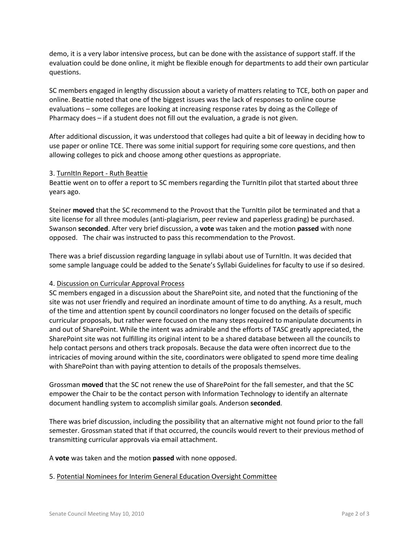demo, it is a very labor intensive process, but can be done with the assistance of support staff. If the evaluation could be done online, it might be flexible enough for departments to add their own particular questions.

SC members engaged in lengthy discussion about a variety of matters relating to TCE, both on paper and online. Beattie noted that one of the biggest issues was the lack of responses to online course evaluations – some colleges are looking at increasing response rates by doing as the College of Pharmacy does – if a student does not fill out the evaluation, a grade is not given.

After additional discussion, it was understood that colleges had quite a bit of leeway in deciding how to use paper or online TCE. There was some initial support for requiring some core questions, and then allowing colleges to pick and choose among other questions as appropriate.

#### 3. TurnItIn Report - Ruth Beattie

Beattie went on to offer a report to SC members regarding the TurnItIn pilot that started about three years ago.

Steiner **moved** that the SC recommend to the Provost that the TurnItIn pilot be terminated and that a site license for all three modules (anti-plagiarism, peer review and paperless grading) be purchased. Swanson **seconded**. After very brief discussion, a **vote** was taken and the motion **passed** with none opposed. The chair was instructed to pass this recommendation to the Provost.

There was a brief discussion regarding language in syllabi about use of TurnItIn. It was decided that some sample language could be added to the Senate's Syllabi Guidelines for faculty to use if so desired.

#### 4. Discussion on Curricular Approval Process

SC members engaged in a discussion about the SharePoint site, and noted that the functioning of the site was not user friendly and required an inordinate amount of time to do anything. As a result, much of the time and attention spent by council coordinators no longer focused on the details of specific curricular proposals, but rather were focused on the many steps required to manipulate documents in and out of SharePoint. While the intent was admirable and the efforts of TASC greatly appreciated, the SharePoint site was not fulfilling its original intent to be a shared database between all the councils to help contact persons and others track proposals. Because the data were often incorrect due to the intricacies of moving around within the site, coordinators were obligated to spend more time dealing with SharePoint than with paying attention to details of the proposals themselves.

Grossman **moved** that the SC not renew the use of SharePoint for the fall semester, and that the SC empower the Chair to be the contact person with Information Technology to identify an alternate document handling system to accomplish similar goals. Anderson **seconded**.

There was brief discussion, including the possibility that an alternative might not found prior to the fall semester. Grossman stated that if that occurred, the councils would revert to their previous method of transmitting curricular approvals via email attachment.

A **vote** was taken and the motion **passed** with none opposed.

#### 5. Potential Nominees for Interim General Education Oversight Committee